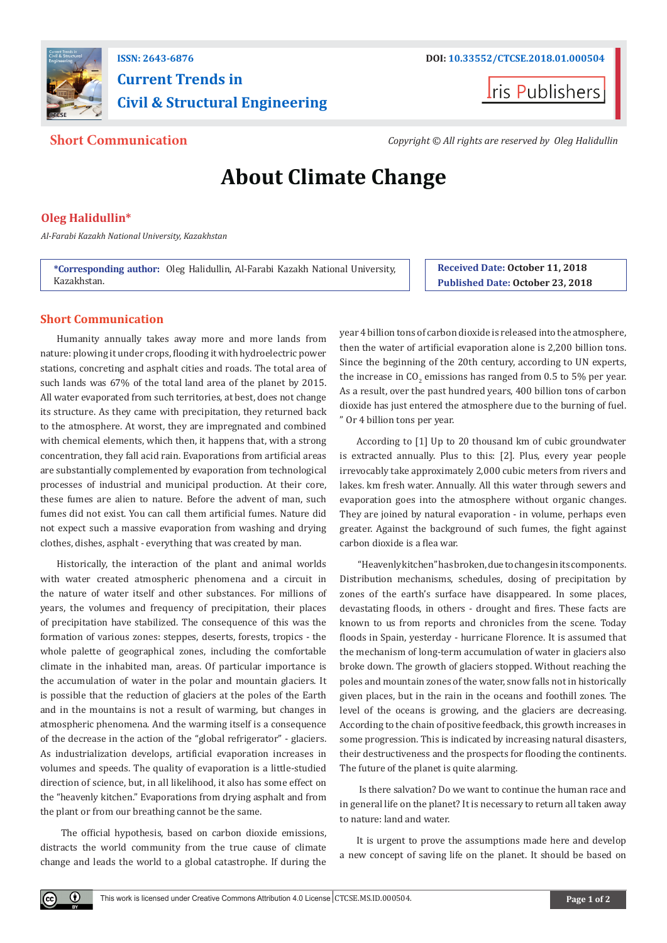

## **ISSN: 2643-6876 DOI: [10.33552/CTCSE.2018.01.000504](http://dx.doi.org/10.33552/CTCSE.2018.01.000504) Current Trends in Civil & Structural Engineering**



**Short Communication** *Copyright © All rights are reserved by Oleg Halidullin*

# **About Climate Change**

### **Oleg Halidullin\***

*Al-Farabi Kazakh National University, Kazakhstan*

**\*Corresponding author:** Oleg Halidullin, Al-Farabi Kazakh National University, Kazakhstan.

#### **Short Communication**

Humanity annually takes away more and more lands from nature: plowing it under crops, flooding it with hydroelectric power stations, concreting and asphalt cities and roads. The total area of such lands was 67% of the total land area of the planet by 2015. All water evaporated from such territories, at best, does not change its structure. As they came with precipitation, they returned back to the atmosphere. At worst, they are impregnated and combined with chemical elements, which then, it happens that, with a strong concentration, they fall acid rain. Evaporations from artificial areas are substantially complemented by evaporation from technological processes of industrial and municipal production. At their core, these fumes are alien to nature. Before the advent of man, such fumes did not exist. You can call them artificial fumes. Nature did not expect such a massive evaporation from washing and drying clothes, dishes, asphalt - everything that was created by man.

Historically, the interaction of the plant and animal worlds with water created atmospheric phenomena and a circuit in the nature of water itself and other substances. For millions of years, the volumes and frequency of precipitation, their places of precipitation have stabilized. The consequence of this was the formation of various zones: steppes, deserts, forests, tropics - the whole palette of geographical zones, including the comfortable climate in the inhabited man, areas. Of particular importance is the accumulation of water in the polar and mountain glaciers. It is possible that the reduction of glaciers at the poles of the Earth and in the mountains is not a result of warming, but changes in atmospheric phenomena. And the warming itself is a consequence of the decrease in the action of the "global refrigerator" - glaciers. As industrialization develops, artificial evaporation increases in volumes and speeds. The quality of evaporation is a little-studied direction of science, but, in all likelihood, it also has some effect on the "heavenly kitchen." Evaporations from drying asphalt and from the plant or from our breathing cannot be the same.

 The official hypothesis, based on carbon dioxide emissions, distracts the world community from the true cause of climate change and leads the world to a global catastrophe. If during the

 $\bf{0}$ 

**Received Date: October 11, 2018 Published Date: October 23, 2018**

year 4 billion tons of carbon dioxide is released into the atmosphere, then the water of artificial evaporation alone is 2,200 billion tons. Since the beginning of the 20th century, according to UN experts, the increase in CO<sub>2</sub> emissions has ranged from 0.5 to 5% per year. As a result, over the past hundred years, 400 billion tons of carbon dioxide has just entered the atmosphere due to the burning of fuel. " Or 4 billion tons per year.

According to [1] Up to 20 thousand km of cubic groundwater is extracted annually. Plus to this: [2]. Plus, every year people irrevocably take approximately 2,000 cubic meters from rivers and lakes. km fresh water. Annually. All this water through sewers and evaporation goes into the atmosphere without organic changes. They are joined by natural evaporation - in volume, perhaps even greater. Against the background of such fumes, the fight against carbon dioxide is a flea war.

 "Heavenly kitchen" has broken, due to changes in its components. Distribution mechanisms, schedules, dosing of precipitation by zones of the earth's surface have disappeared. In some places, devastating floods, in others - drought and fires. These facts are known to us from reports and chronicles from the scene. Today floods in Spain, yesterday - hurricane Florence. It is assumed that the mechanism of long-term accumulation of water in glaciers also broke down. The growth of glaciers stopped. Without reaching the poles and mountain zones of the water, snow falls not in historically given places, but in the rain in the oceans and foothill zones. The level of the oceans is growing, and the glaciers are decreasing. According to the chain of positive feedback, this growth increases in some progression. This is indicated by increasing natural disasters, their destructiveness and the prospects for flooding the continents. The future of the planet is quite alarming.

 Is there salvation? Do we want to continue the human race and in general life on the planet? It is necessary to return all taken away to nature: land and water.

It is urgent to prove the assumptions made here and develop a new concept of saving life on the planet. It should be based on